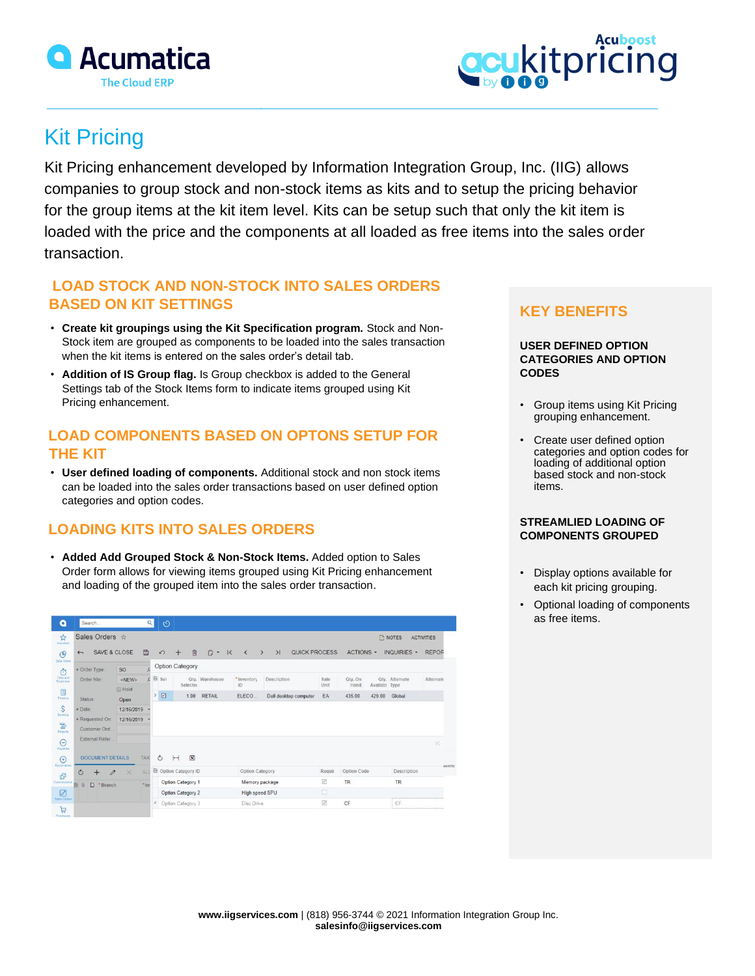



# Kit Pricing

Kit Pricing enhancement developed by Information Integration Group, Inc. (IIG) allows companies to group stock and non-stock items as kits and to setup the pricing behavior for the group items at the kit item level. Kits can be setup such that only the kit item is loaded with the price and the components at all loaded as free items into the sales order transaction.

### **LOAD STOCK AND NON-STOCK INTO SALES ORDERS BASED ON KIT SETTINGS**

- **Create kit groupings using the Kit Specification program.** Stock and Non-Stock item are grouped as components to be loaded into the sales transaction when the kit items is entered on the sales order's detail tab.
- **Addition of IS Group flag.** Is Group checkbox is added to the General Settings tab of the Stock Items form to indicate items grouped using Kit Pricing enhancement.

# **LOAD COMPONENTS BASED ON OPTONS SETUP FOR THE KIT**

• **User defined loading of components.** Additional stock and non stock items can be loaded into the sales order transactions based on user defined option categories and option codes.

## **LOADING KITS INTO SALES ORDERS**

• **Added Add Grouped Stock & Non-Stock Items.** Added option to Sales Order form allows for viewing items grouped using Kit Pricing enhancement and loading of the grouped item into the sales order transaction.

| $\bullet$                 | Search                                           |                        | $\alpha$<br>$\circ$         |                                      |                |                              |                                      |              |                   |               |                       |              |  |
|---------------------------|--------------------------------------------------|------------------------|-----------------------------|--------------------------------------|----------------|------------------------------|--------------------------------------|--------------|-------------------|---------------|-----------------------|--------------|--|
| ☆<br>Favorhos             | Sales Orders $\triangle$                         |                        | <b>F</b> NOTES              |                                      |                |                              |                                      |              | <b>ACTIVITIES</b> |               |                       |              |  |
| $\bigoplus$<br>Data Views | <b>SAVE &amp; CLOSE</b><br>$\leftarrow$          | 日                      | $\Omega$                    | 面<br>$+$                             | $D - K$        | $\left\langle \right\rangle$ | QUICK PROCESS<br>>1<br>$\rightarrow$ |              | ACTIONS -         |               | <b>INQUIRIES -</b>    | <b>REPOR</b> |  |
| Ò                         | * Order Type:                                    | <b>SO</b>              | Option Category             |                                      |                |                              |                                      |              |                   |               |                       |              |  |
| Time and<br>Expertise     | Order Nbr                                        | <new></new>            | B Sel                       | Selecter                             | Qtv. Warehouse | *Inventon<br>ID              | Description                          | Sale<br>Unit | Qty, On<br>Hand   | Availabl Type | Qtv. Alternate        | Alternate    |  |
| 圃<br>Finance              | Status:                                          | <b>El Hold</b><br>Open | > 図                         | 1.00                                 | <b>RETAIL</b>  | ELECO                        | Dell desktop computer                | EA           | 435.00            | 429.00        | Global                |              |  |
| $S_{\text{matrix}}$       | * Date                                           | 12/16/2019             |                             |                                      |                |                              |                                      |              |                   |               |                       |              |  |
| <b>B</b><br>Projects      | * Requested On:<br>Customer Ord.                 | 12/16/2019             |                             |                                      |                |                              |                                      |              |                   |               |                       |              |  |
| $\Theta$                  | External Refer                                   |                        |                             |                                      |                |                              |                                      |              |                   |               |                       | 16           |  |
| Payables<br>$\bigoplus$   | <b>DOCUMENT DETAILS</b>                          | TAX                    | Ò                           | $\overline{\mathbf{x}}$<br>$\mapsto$ |                |                              |                                      |              |                   |               |                       |              |  |
| Receivable                | AI<br>$\mathcal{C}$<br>$\infty$<br>$\mathscr{D}$ |                        | <b>B</b> Option Category ID |                                      |                |                              | Option Category                      |              | Option Code       |               | uantit<br>Description |              |  |
| 53<br>Customization       | 靈<br>$\overline{u}$<br>$\Box$<br>*Branch         | 51n                    |                             | Option Category 1                    |                |                              | Memory package                       |              | <b>TR</b>         |               | <b>TR</b>             |              |  |
| $\boxed{2}$               |                                                  |                        | Option Category 2           |                                      |                |                              | High speed SPU                       |              | α                 |               |                       |              |  |
| Salas Orders<br>৳         |                                                  |                        |                             | Option Category 3<br>×.              |                |                              | Disc Drive                           |              | CF                |               | CF                    |              |  |

### **KEY BENEFITS**

#### **USER DEFINED OPTION CATEGORIES AND OPTION CODES**

- Group items using Kit Pricing grouping enhancement.
- Create user defined option categories and option codes for loading of additional option based stock and non-stock items.

### **STREAMLIED LOADING OF COMPONENTS GROUPED**

- Display options available for each kit pricing grouping.
- Optional loading of components as free items.